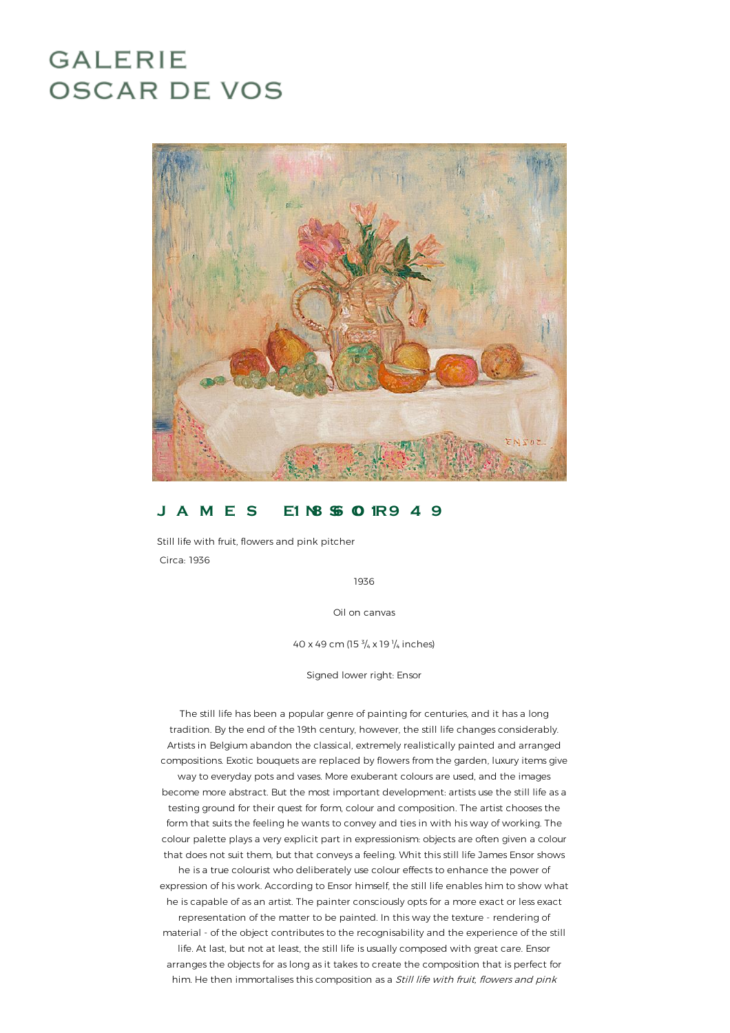# **GALERIE OSCAR DE VOS**



## **J A M E S E1 N8 S6- O0 1R9 4 9**

Still life with fruit, flowers and pink pitcher Circa: 1936

1936

Oil on canvas

40 x 49 cm (15 $\frac{3}{4}$  x 19 $\frac{1}{4}$  inches)

Signed lower right: Ensor

The still life has been a popular genre of painting for centuries, and it has a long tradition. By the end of the 19th century, however, the still life changes considerably. Artists in Belgiumabandon the classical, extremely realistically painted and arranged compositions. Exotic bouquets are replaced by flowers from the garden, luxury items give way to everyday pots and vases. More exuberant colours are used, and the images become more abstract. But the most important development: artists use the still life as a testing ground for their quest for form, colour and composition. The artist chooses the form that suits the feeling he wants to convey and ties in with his way of working. The colour palette plays a very explicit part in expressionism: objects are often given a colour that does not suit them, but that conveys a feeling. Whit this still life James Ensor shows he is a true colourist who deliberately use colour effects to enhance the power of expression of his work. According to Ensor himself, the still life enables him to show what he is capable of as an artist. The painter consciously opts for a more exact or less exact representation of the matter to be painted. In this way the texture - renderingof material - of the object contributes to the recognisability and the experience of the still life. At last, but not at least, the still life is usually composed with great care. Ensor arranges the objects for as long as it takes to create the composition that is perfect for him. He then immortalises this composition as a Still life with fruit, flowers and pink